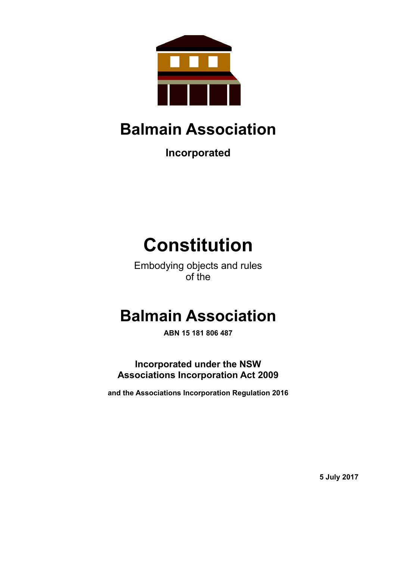

# **Balmain Association**

**Incorporated**

# **Constitution**

Embodying objects and rules of the

# **Balmain Association**

**ABN 15 181 806 487**

**Incorporated under the NSW Associations Incorporation Act 2009**

**and the Associations Incorporation Regulation 2016**

**5 July 2017**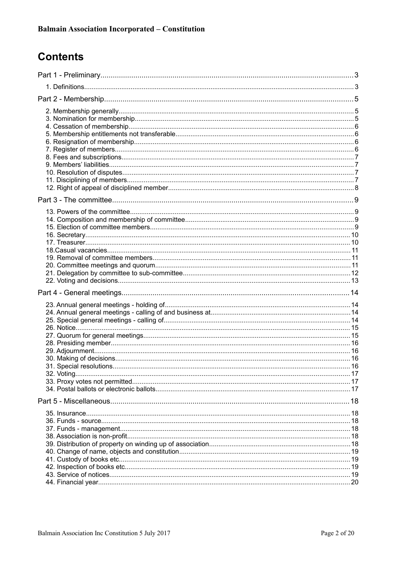#### **Contents**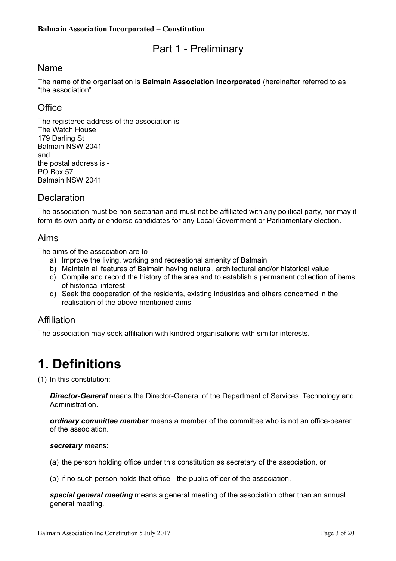#### <span id="page-2-1"></span>Part 1 - Preliminary

#### Name

The name of the organisation is **Balmain Association Incorporated** (hereinafter referred to as "the association"

#### **Office**

The registered address of the association is – The Watch House 179 Darling St Balmain NSW 2041 and the postal address is - PO Box 57 Balmain NSW 2041

#### **Declaration**

The association must be non-sectarian and must not be affiliated with any political party, nor may it form its own party or endorse candidates for any Local Government or Parliamentary election.

#### Aims

The aims of the association are to –

- a) Improve the living, working and recreational amenity of Balmain
- b) Maintain all features of Balmain having natural, architectural and/or historical value
- c) Compile and record the history of the area and to establish a permanent collection of items of historical interest
- d) Seek the cooperation of the residents, existing industries and others concerned in the realisation of the above mentioned aims

#### Affiliation

The association may seek affiliation with kindred organisations with similar interests.

### <span id="page-2-0"></span>**1. Definitions**

(1) In this constitution:

*Director-General* means the Director-General of the Department of Services, Technology and Administration.

*ordinary committee member* means a member of the committee who is not an office-bearer of the association.

*secretary* means:

(a) the person holding office under this constitution as secretary of the association, or

(b) if no such person holds that office - the public officer of the association.

*special general meeting* means a general meeting of the association other than an annual general meeting.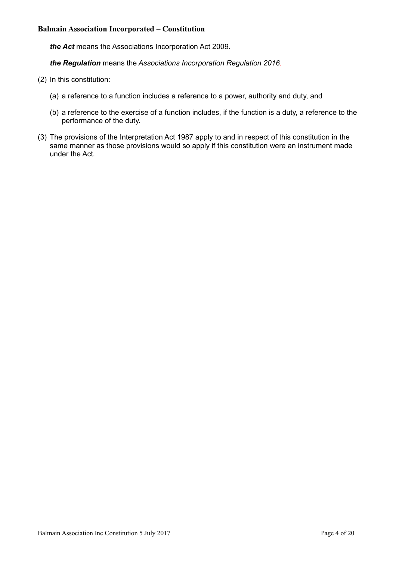*the Act* means the [Associations Incorporation Act 2009.](http://www.legislation.nsw.gov.au/xref/inforce/?xref=Type%3Dact%20AND%20Year%3D2009%20AND%20no%3D7&nohits=y)

*the Regulation* means the *[Associations Incorporation Regulation 2016.](http://www.legislation.nsw.gov.au/xref/inforce/?xref=Type%3Dsubordleg%20AND%20Year%3D2010%20AND%20No%3D238&nohits=y)*

- (2) In this constitution:
	- (a) a reference to a function includes a reference to a power, authority and duty, and
	- (b) a reference to the exercise of a function includes, if the function is a duty, a reference to the performance of the duty.
- (3) The provisions of the [Interpretation Act 1987](http://www.legislation.nsw.gov.au/xref/inforce/?xref=Type%3Dact%20AND%20Year%3D1987%20AND%20no%3D15&nohits=y) apply to and in respect of this constitution in the same manner as those provisions would so apply if this constitution were an instrument made under the Act.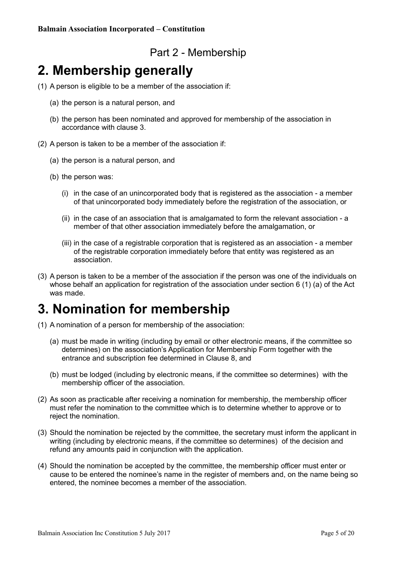#### <span id="page-4-2"></span>Part 2 - Membership

#### <span id="page-4-1"></span>**2. Membership generally**

- (1) A person is eligible to be a member of the association if:
	- (a) the person is a natural person, and
	- (b) the person has been nominated and approved for membership of the association in accordance with clause 3.
- (2) A person is taken to be a member of the association if:
	- (a) the person is a natural person, and
	- (b) the person was:
		- (i) in the case of an unincorporated body that is registered as the association a member of that unincorporated body immediately before the registration of the association, or
		- (ii) in the case of an association that is amalgamated to form the relevant association a member of that other association immediately before the amalgamation, or
		- (iii) in the case of a registrable corporation that is registered as an association a member of the registrable corporation immediately before that entity was registered as an association.
- (3) A person is taken to be a member of the association if the person was one of the individuals on whose behalf an application for registration of the association under section 6 (1) (a) of the Act was made.

#### <span id="page-4-0"></span>**3. Nomination for membership**

- (1) A nomination of a person for membership of the association:
	- (a) must be made in writing (including by email or other electronic means, if the committee so determines) on the association's Application for Membership Form together with the entrance and subscription fee determined in Clause 8, and
	- (b) must be lodged (including by electronic means, if the committee so determines) with the membership officer of the association.
- (2) As soon as practicable after receiving a nomination for membership, the membership officer must refer the nomination to the committee which is to determine whether to approve or to reject the nomination.
- (3) Should the nomination be rejected by the committee, the secretary must inform the applicant in writing (including by electronic means, if the committee so determines) of the decision and refund any amounts paid in conjunction with the application.
- (4) Should the nomination be accepted by the committee, the membership officer must enter or cause to be entered the nominee's name in the register of members and, on the name being so entered, the nominee becomes a member of the association.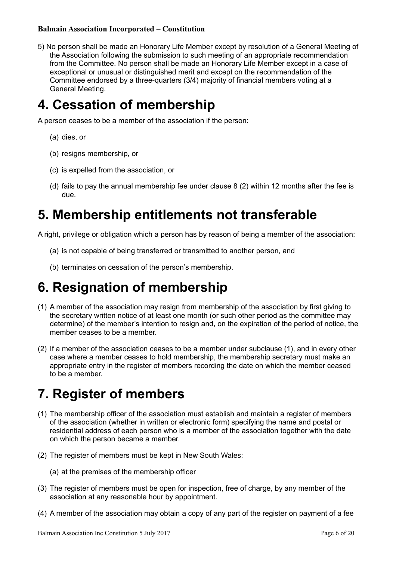5) No person shall be made an Honorary Life Member except by resolution of a General Meeting of the Association following the submission to such meeting of an appropriate recommendation from the Committee. No person shall be made an Honorary Life Member except in a case of exceptional or unusual or distinguished merit and except on the recommendation of the Committee endorsed by a three-quarters (3/4) majority of financial members voting at a General Meeting.

### <span id="page-5-3"></span>**4. Cessation of membership**

A person ceases to be a member of the association if the person:

- (a) dies, or
- (b) resigns membership, or
- (c) is expelled from the association, or
- (d) fails to pay the annual membership fee under clause 8 (2) within 12 months after the fee is due.

#### <span id="page-5-2"></span>**5. Membership entitlements not transferable**

A right, privilege or obligation which a person has by reason of being a member of the association:

- (a) is not capable of being transferred or transmitted to another person, and
- (b) terminates on cessation of the person's membership.

### <span id="page-5-1"></span>**6. Resignation of membership**

- (1) A member of the association may resign from membership of the association by first giving to the secretary written notice of at least one month (or such other period as the committee may determine) of the member's intention to resign and, on the expiration of the period of notice, the member ceases to be a member.
- (2) If a member of the association ceases to be a member under subclause (1), and in every other case where a member ceases to hold membership, the membership secretary must make an appropriate entry in the register of members recording the date on which the member ceased to be a member.

# <span id="page-5-0"></span>**7. Register of members**

- (1) The membership officer of the association must establish and maintain a register of members of the association (whether in written or electronic form) specifying the name and postal or residential address of each person who is a member of the association together with the date on which the person became a member.
- (2) The register of members must be kept in New South Wales:
	- (a) at the premises of the membership officer
- (3) The register of members must be open for inspection, free of charge, by any member of the association at any reasonable hour by appointment.
- (4) A member of the association may obtain a copy of any part of the register on payment of a fee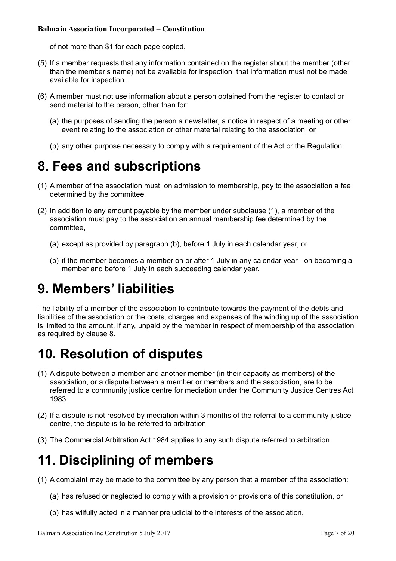of not more than \$1 for each page copied.

- (5) If a member requests that any information contained on the register about the member (other than the member's name) not be available for inspection, that information must not be made available for inspection.
- (6) A member must not use information about a person obtained from the register to contact or send material to the person, other than for:
	- (a) the purposes of sending the person a newsletter, a notice in respect of a meeting or other event relating to the association or other material relating to the association, or
	- (b) any other purpose necessary to comply with a requirement of the Act or the Regulation.

### <span id="page-6-3"></span>**8. Fees and subscriptions**

- (1) A member of the association must, on admission to membership, pay to the association a fee determined by the committee
- (2) In addition to any amount payable by the member under subclause (1), a member of the association must pay to the association an annual membership fee determined by the committee,
	- (a) except as provided by paragraph (b), before 1 July in each calendar year, or
	- (b) if the member becomes a member on or after 1 July in any calendar year on becoming a member and before 1 July in each succeeding calendar year.

### <span id="page-6-2"></span>**9. Members' liabilities**

The liability of a member of the association to contribute towards the payment of the debts and liabilities of the association or the costs, charges and expenses of the winding up of the association is limited to the amount, if any, unpaid by the member in respect of membership of the association as required by clause 8.

### <span id="page-6-1"></span>**10. Resolution of disputes**

- (1) A dispute between a member and another member (in their capacity as members) of the association, or a dispute between a member or members and the association, are to be referred to a community justice centre for mediation under the [Community Justice Centres Act](http://www.legislation.nsw.gov.au/xref/inforce/?xref=Type%3Dact%20AND%20Year%3D1983%20AND%20no%3D127&nohits=y)  [1983.](http://www.legislation.nsw.gov.au/xref/inforce/?xref=Type%3Dact%20AND%20Year%3D1983%20AND%20no%3D127&nohits=y)
- (2) If a dispute is not resolved by mediation within 3 months of the referral to a community justice centre, the dispute is to be referred to arbitration.
- (3) The [Commercial Arbitration Act 1984](http://www.legislation.nsw.gov.au/xref/inforce/?xref=Type%3Dact%20AND%20Year%3D1984%20AND%20no%3D160&nohits=y) applies to any such dispute referred to arbitration.

### <span id="page-6-0"></span>**11. Disciplining of members**

- (1) A complaint may be made to the committee by any person that a member of the association:
	- (a) has refused or neglected to comply with a provision or provisions of this constitution, or
	- (b) has wilfully acted in a manner prejudicial to the interests of the association.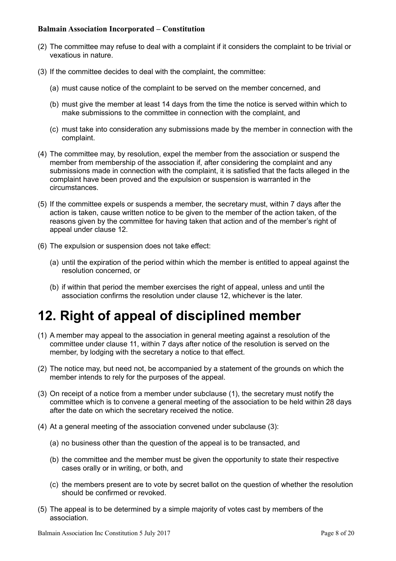- (2) The committee may refuse to deal with a complaint if it considers the complaint to be trivial or vexatious in nature.
- (3) If the committee decides to deal with the complaint, the committee:
	- (a) must cause notice of the complaint to be served on the member concerned, and
	- (b) must give the member at least 14 days from the time the notice is served within which to make submissions to the committee in connection with the complaint, and
	- (c) must take into consideration any submissions made by the member in connection with the complaint.
- (4) The committee may, by resolution, expel the member from the association or suspend the member from membership of the association if, after considering the complaint and any submissions made in connection with the complaint, it is satisfied that the facts alleged in the complaint have been proved and the expulsion or suspension is warranted in the circumstances.
- (5) If the committee expels or suspends a member, the secretary must, within 7 days after the action is taken, cause written notice to be given to the member of the action taken, of the reasons given by the committee for having taken that action and of the member's right of appeal under clause 12.
- (6) The expulsion or suspension does not take effect:
	- (a) until the expiration of the period within which the member is entitled to appeal against the resolution concerned, or
	- (b) if within that period the member exercises the right of appeal, unless and until the association confirms the resolution under clause 12, whichever is the later.

### <span id="page-7-0"></span>**12. Right of appeal of disciplined member**

- (1) A member may appeal to the association in general meeting against a resolution of the committee under clause 11, within 7 days after notice of the resolution is served on the member, by lodging with the secretary a notice to that effect.
- (2) The notice may, but need not, be accompanied by a statement of the grounds on which the member intends to rely for the purposes of the appeal.
- (3) On receipt of a notice from a member under subclause (1), the secretary must notify the committee which is to convene a general meeting of the association to be held within 28 days after the date on which the secretary received the notice.
- (4) At a general meeting of the association convened under subclause (3):
	- (a) no business other than the question of the appeal is to be transacted, and
	- (b) the committee and the member must be given the opportunity to state their respective cases orally or in writing, or both, and
	- (c) the members present are to vote by secret ballot on the question of whether the resolution should be confirmed or revoked.
- (5) The appeal is to be determined by a simple majority of votes cast by members of the association.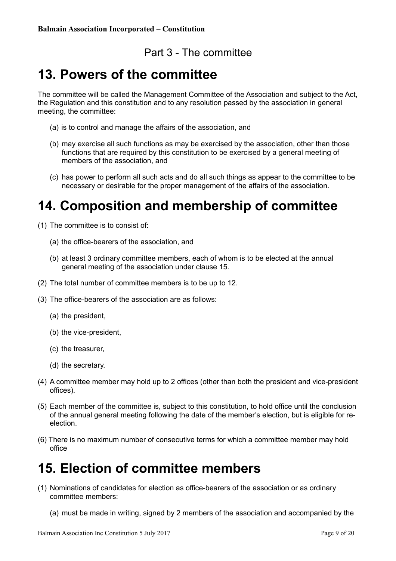#### <span id="page-8-3"></span>Part 3 - The committee

### <span id="page-8-2"></span>**13. Powers of the committee**

The committee will be called the Management Committee of the Association and subject to the Act, the Regulation and this constitution and to any resolution passed by the association in general meeting, the committee:

- (a) is to control and manage the affairs of the association, and
- (b) may exercise all such functions as may be exercised by the association, other than those functions that are required by this constitution to be exercised by a general meeting of members of the association, and
- (c) has power to perform all such acts and do all such things as appear to the committee to be necessary or desirable for the proper management of the affairs of the association.

### <span id="page-8-1"></span>**14. Composition and membership of committee**

- (1) The committee is to consist of:
	- (a) the office-bearers of the association, and
	- (b) at least 3 ordinary committee members, each of whom is to be elected at the annual general meeting of the association under clause 15.
- (2) The total number of committee members is to be up to 12.
- (3) The office-bearers of the association are as follows:
	- (a) the president,
	- (b) the vice-president,
	- (c) the treasurer,
	- (d) the secretary.
- (4) A committee member may hold up to 2 offices (other than both the president and vice-president offices).
- (5) Each member of the committee is, subject to this constitution, to hold office until the conclusion of the annual general meeting following the date of the member's election, but is eligible for reelection.
- (6) There is no maximum number of consecutive terms for which a committee member may hold office

#### <span id="page-8-0"></span>**15. Election of committee members**

- (1) Nominations of candidates for election as office-bearers of the association or as ordinary committee members:
	- (a) must be made in writing, signed by 2 members of the association and accompanied by the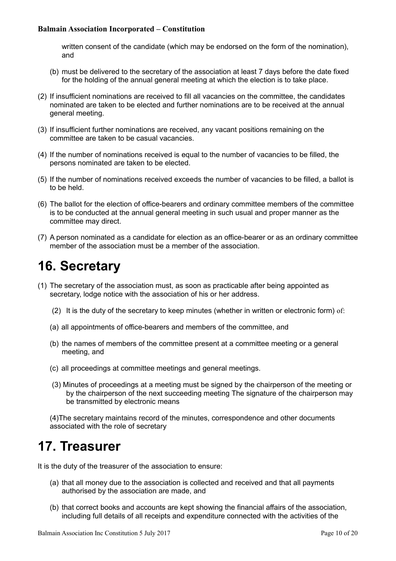written consent of the candidate (which may be endorsed on the form of the nomination), and

- (b) must be delivered to the secretary of the association at least 7 days before the date fixed for the holding of the annual general meeting at which the election is to take place.
- (2) If insufficient nominations are received to fill all vacancies on the committee, the candidates nominated are taken to be elected and further nominations are to be received at the annual general meeting.
- (3) If insufficient further nominations are received, any vacant positions remaining on the committee are taken to be casual vacancies.
- (4) If the number of nominations received is equal to the number of vacancies to be filled, the persons nominated are taken to be elected.
- (5) If the number of nominations received exceeds the number of vacancies to be filled, a ballot is to be held.
- (6) The ballot for the election of office-bearers and ordinary committee members of the committee is to be conducted at the annual general meeting in such usual and proper manner as the committee may direct.
- (7) A person nominated as a candidate for election as an office-bearer or as an ordinary committee member of the association must be a member of the association.

## <span id="page-9-0"></span>**16. Secretary**

- (1) The secretary of the association must, as soon as practicable after being appointed as secretary, lodge notice with the association of his or her address.
	- (2) It is the duty of the secretary to keep minutes (whether in written or electronic form) of:
	- (a) all appointments of office-bearers and members of the committee, and
	- (b) the names of members of the committee present at a committee meeting or a general meeting, and
	- (c) all proceedings at committee meetings and general meetings.
	- (3) Minutes of proceedings at a meeting must be signed by the chairperson of the meeting or by the chairperson of the next succeeding meeting The signature of the chairperson may be transmitted by electronic means

(4)The secretary maintains record of the minutes, correspondence and other documents associated with the role of secretary

### <span id="page-9-1"></span>**17. Treasurer**

It is the duty of the treasurer of the association to ensure:

- (a) that all money due to the association is collected and received and that all payments authorised by the association are made, and
- (b) that correct books and accounts are kept showing the financial affairs of the association, including full details of all receipts and expenditure connected with the activities of the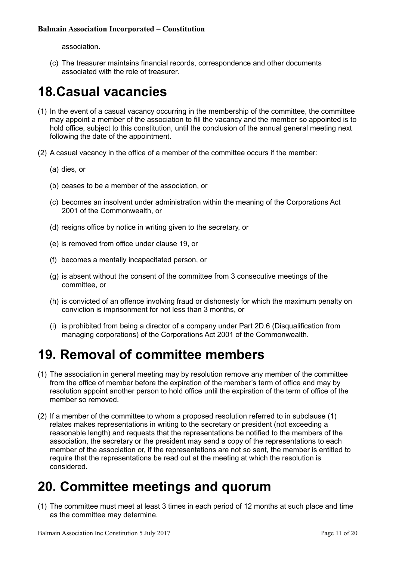association.

(c) The treasurer maintains financial records, correspondence and other documents associated with the role of treasurer.

## <span id="page-10-2"></span>**18.Casual vacancies**

- (1) In the event of a casual vacancy occurring in the membership of the committee, the committee may appoint a member of the association to fill the vacancy and the member so appointed is to hold office, subject to this constitution, until the conclusion of the annual general meeting next following the date of the appointment.
- (2) A casual vacancy in the office of a member of the committee occurs if the member:
	- (a) dies, or
	- (b) ceases to be a member of the association, or
	- (c) becomes an insolvent under administration within the meaning of the [Corporations Act](http://www.comlaw.gov.au/)  [2001](http://www.comlaw.gov.au/) of the Commonwealth, or
	- (d) resigns office by notice in writing given to the secretary, or
	- (e) is removed from office under clause 19, or
	- (f) becomes a mentally incapacitated person, or
	- (g) is absent without the consent of the committee from 3 consecutive meetings of the committee, or
	- (h) is convicted of an offence involving fraud or dishonesty for which the maximum penalty on conviction is imprisonment for not less than 3 months, or
	- (i) is prohibited from being a director of a company under Part 2D.6 (Disqualification from managing corporations) of the [Corporations Act 2001](http://www.comlaw.gov.au/) of the Commonwealth.

#### <span id="page-10-1"></span>**19. Removal of committee members**

- (1) The association in general meeting may by resolution remove any member of the committee from the office of member before the expiration of the member's term of office and may by resolution appoint another person to hold office until the expiration of the term of office of the member so removed.
- (2) If a member of the committee to whom a proposed resolution referred to in subclause (1) relates makes representations in writing to the secretary or president (not exceeding a reasonable length) and requests that the representations be notified to the members of the association, the secretary or the president may send a copy of the representations to each member of the association or, if the representations are not so sent, the member is entitled to require that the representations be read out at the meeting at which the resolution is considered.

### <span id="page-10-0"></span>**20. Committee meetings and quorum**

(1) The committee must meet at least 3 times in each period of 12 months at such place and time as the committee may determine.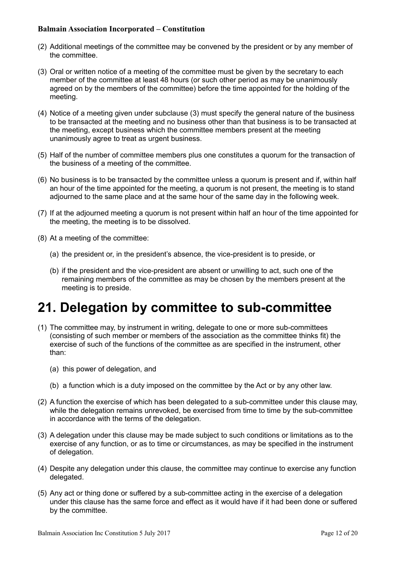- (2) Additional meetings of the committee may be convened by the president or by any member of the committee.
- (3) Oral or written notice of a meeting of the committee must be given by the secretary to each member of the committee at least 48 hours (or such other period as may be unanimously agreed on by the members of the committee) before the time appointed for the holding of the meeting.
- (4) Notice of a meeting given under subclause (3) must specify the general nature of the business to be transacted at the meeting and no business other than that business is to be transacted at the meeting, except business which the committee members present at the meeting unanimously agree to treat as urgent business.
- (5) Half of the number of committee members plus one constitutes a quorum for the transaction of the business of a meeting of the committee.
- (6) No business is to be transacted by the committee unless a quorum is present and if, within half an hour of the time appointed for the meeting, a quorum is not present, the meeting is to stand adjourned to the same place and at the same hour of the same day in the following week.
- (7) If at the adjourned meeting a quorum is not present within half an hour of the time appointed for the meeting, the meeting is to be dissolved.
- (8) At a meeting of the committee:
	- (a) the president or, in the president's absence, the vice-president is to preside, or
	- (b) if the president and the vice-president are absent or unwilling to act, such one of the remaining members of the committee as may be chosen by the members present at the meeting is to preside.

#### <span id="page-11-0"></span>**21. Delegation by committee to sub-committee**

- (1) The committee may, by instrument in writing, delegate to one or more sub-committees (consisting of such member or members of the association as the committee thinks fit) the exercise of such of the functions of the committee as are specified in the instrument, other than:
	- (a) this power of delegation, and
	- (b) a function which is a duty imposed on the committee by the Act or by any other law.
- (2) A function the exercise of which has been delegated to a sub-committee under this clause may, while the delegation remains unrevoked, be exercised from time to time by the sub-committee in accordance with the terms of the delegation.
- (3) A delegation under this clause may be made subject to such conditions or limitations as to the exercise of any function, or as to time or circumstances, as may be specified in the instrument of delegation.
- (4) Despite any delegation under this clause, the committee may continue to exercise any function delegated.
- (5) Any act or thing done or suffered by a sub-committee acting in the exercise of a delegation under this clause has the same force and effect as it would have if it had been done or suffered by the committee.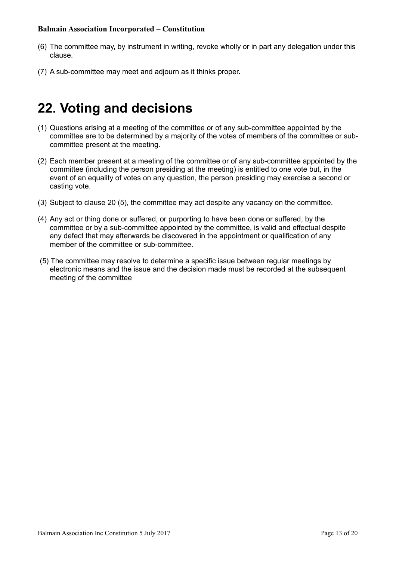- (6) The committee may, by instrument in writing, revoke wholly or in part any delegation under this clause.
- (7) A sub-committee may meet and adjourn as it thinks proper.

#### <span id="page-12-0"></span>**22. Voting and decisions**

- (1) Questions arising at a meeting of the committee or of any sub-committee appointed by the committee are to be determined by a majority of the votes of members of the committee or subcommittee present at the meeting.
- (2) Each member present at a meeting of the committee or of any sub-committee appointed by the committee (including the person presiding at the meeting) is entitled to one vote but, in the event of an equality of votes on any question, the person presiding may exercise a second or casting vote.
- (3) Subject to clause 20 (5), the committee may act despite any vacancy on the committee.
- (4) Any act or thing done or suffered, or purporting to have been done or suffered, by the committee or by a sub-committee appointed by the committee, is valid and effectual despite any defect that may afterwards be discovered in the appointment or qualification of any member of the committee or sub-committee.
- (5) The committee may resolve to determine a specific issue between regular meetings by electronic means and the issue and the decision made must be recorded at the subsequent meeting of the committee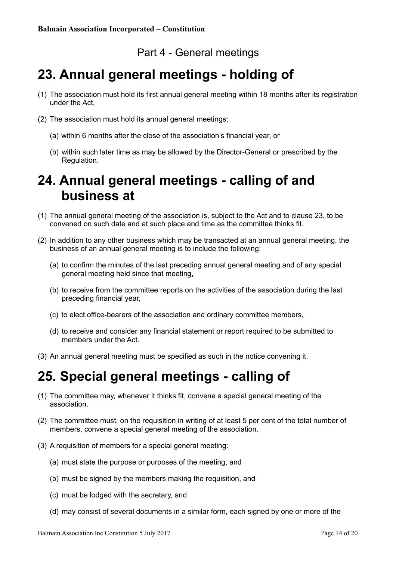#### <span id="page-13-3"></span>Part 4 - General meetings

### <span id="page-13-2"></span>**23. Annual general meetings - holding of**

- (1) The association must hold its first annual general meeting within 18 months after its registration under the Act.
- (2) The association must hold its annual general meetings:
	- (a) within 6 months after the close of the association's financial year, or
	- (b) within such later time as may be allowed by the Director-General or prescribed by the Regulation.

#### <span id="page-13-1"></span>**24. Annual general meetings - calling of and business at**

- (1) The annual general meeting of the association is, subject to the Act and to clause 23, to be convened on such date and at such place and time as the committee thinks fit.
- (2) In addition to any other business which may be transacted at an annual general meeting, the business of an annual general meeting is to include the following:
	- (a) to confirm the minutes of the last preceding annual general meeting and of any special general meeting held since that meeting,
	- (b) to receive from the committee reports on the activities of the association during the last preceding financial year,
	- (c) to elect office-bearers of the association and ordinary committee members,
	- (d) to receive and consider any financial statement or report required to be submitted to members under the Act.
- (3) An annual general meeting must be specified as such in the notice convening it.

### <span id="page-13-0"></span>**25. Special general meetings - calling of**

- (1) The committee may, whenever it thinks fit, convene a special general meeting of the association.
- (2) The committee must, on the requisition in writing of at least 5 per cent of the total number of members, convene a special general meeting of the association.
- (3) A requisition of members for a special general meeting:
	- (a) must state the purpose or purposes of the meeting, and
	- (b) must be signed by the members making the requisition, and
	- (c) must be lodged with the secretary, and
	- (d) may consist of several documents in a similar form, each signed by one or more of the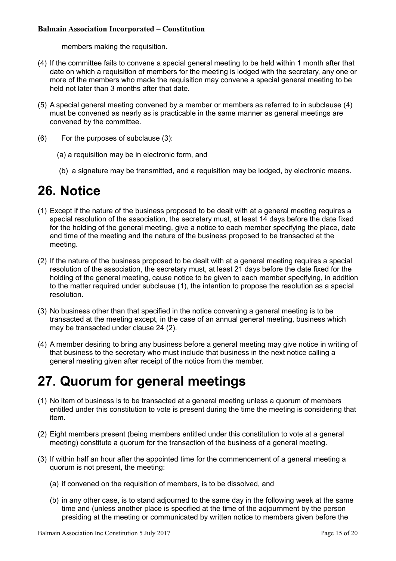members making the requisition.

- (4) If the committee fails to convene a special general meeting to be held within 1 month after that date on which a requisition of members for the meeting is lodged with the secretary, any one or more of the members who made the requisition may convene a special general meeting to be held not later than 3 months after that date.
- (5) A special general meeting convened by a member or members as referred to in subclause (4) must be convened as nearly as is practicable in the same manner as general meetings are convened by the committee.
- (6) For the purposes of subclause (3):
	- (a) a requisition may be in electronic form, and
	- (b) a signature may be transmitted, and a requisition may be lodged, by electronic means.

#### <span id="page-14-1"></span>**26. Notice**

- (1) Except if the nature of the business proposed to be dealt with at a general meeting requires a special resolution of the association, the secretary must, at least 14 days before the date fixed for the holding of the general meeting, give a notice to each member specifying the place, date and time of the meeting and the nature of the business proposed to be transacted at the meeting.
- (2) If the nature of the business proposed to be dealt with at a general meeting requires a special resolution of the association, the secretary must, at least 21 days before the date fixed for the holding of the general meeting, cause notice to be given to each member specifying, in addition to the matter required under subclause (1), the intention to propose the resolution as a special resolution.
- (3) No business other than that specified in the notice convening a general meeting is to be transacted at the meeting except, in the case of an annual general meeting, business which may be transacted under clause 24 (2).
- (4) A member desiring to bring any business before a general meeting may give notice in writing of that business to the secretary who must include that business in the next notice calling a general meeting given after receipt of the notice from the member.

### <span id="page-14-0"></span>**27. Quorum for general meetings**

- (1) No item of business is to be transacted at a general meeting unless a quorum of members entitled under this constitution to vote is present during the time the meeting is considering that item.
- (2) Eight members present (being members entitled under this constitution to vote at a general meeting) constitute a quorum for the transaction of the business of a general meeting.
- (3) If within half an hour after the appointed time for the commencement of a general meeting a quorum is not present, the meeting:
	- (a) if convened on the requisition of members, is to be dissolved, and
	- (b) in any other case, is to stand adjourned to the same day in the following week at the same time and (unless another place is specified at the time of the adjournment by the person presiding at the meeting or communicated by written notice to members given before the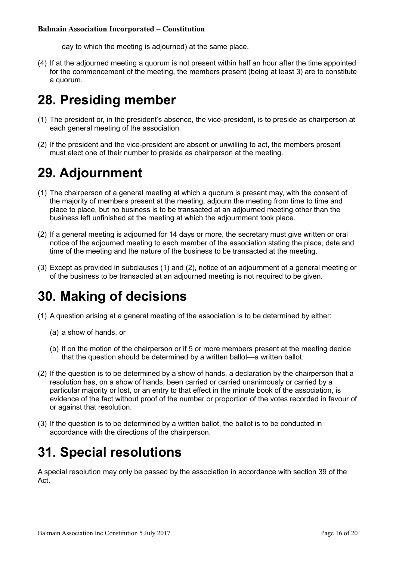day to which the meeting is adjourned) at the same place.

(4) If at the adjourned meeting a quorum is not present within half an hour after the time appointed for the commencement of the meeting, the members present (being at least 3) are to constitute a quorum.

### <span id="page-15-3"></span>**28. Presiding member**

- (1) The president or, in the president's absence, the vice-president, is to preside as chairperson at each general meeting of the association.
- (2) If the president and the vice-president are absent or unwilling to act, the members present must elect one of their number to preside as chairperson at the meeting.

### <span id="page-15-2"></span>**29. Adjournment**

- (1) The chairperson of a general meeting at which a quorum is present may, with the consent of the majority of members present at the meeting, adjourn the meeting from time to time and place to place, but no business is to be transacted at an adjourned meeting other than the business left unfinished at the meeting at which the adjournment took place.
- (2) If a general meeting is adjourned for 14 days or more, the secretary must give written or oral notice of the adjourned meeting to each member of the association stating the place, date and time of the meeting and the nature of the business to be transacted at the meeting.
- (3) Except as provided in subclauses (1) and (2), notice of an adjournment of a general meeting or of the business to be transacted at an adjourned meeting is not required to be given.

### <span id="page-15-1"></span>**30. Making of decisions**

- (1) A question arising at a general meeting of the association is to be determined by either:
	- (a) a show of hands, or
	- (b) if on the motion of the chairperson or if 5 or more members present at the meeting decide that the question should be determined by a written ballot—a written ballot.
- (2) If the question is to be determined by a show of hands, a declaration by the chairperson that a resolution has, on a show of hands, been carried or carried unanimously or carried by a particular majority or lost, or an entry to that effect in the minute book of the association, is evidence of the fact without proof of the number or proportion of the votes recorded in favour of or against that resolution.
- (3) If the question is to be determined by a written ballot, the ballot is to be conducted in accordance with the directions of the chairperson.

### <span id="page-15-0"></span>**31. Special resolutions**

A special resolution may only be passed by the association in accordance with section 39 of the Act.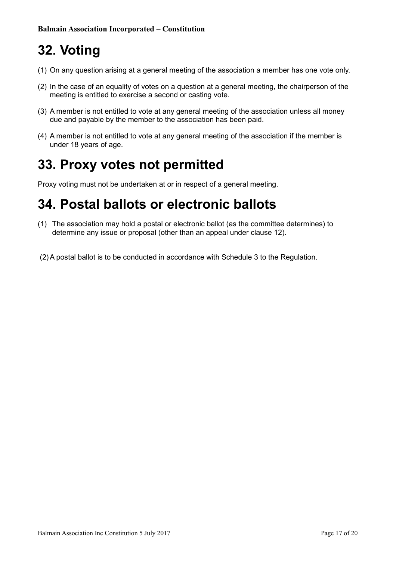# <span id="page-16-2"></span>**32. Voting**

- (1) On any question arising at a general meeting of the association a member has one vote only.
- (2) In the case of an equality of votes on a question at a general meeting, the chairperson of the meeting is entitled to exercise a second or casting vote.
- (3) A member is not entitled to vote at any general meeting of the association unless all money due and payable by the member to the association has been paid.
- (4) A member is not entitled to vote at any general meeting of the association if the member is under 18 years of age.

### <span id="page-16-1"></span>**33. Proxy votes not permitted**

Proxy voting must not be undertaken at or in respect of a general meeting.

#### <span id="page-16-0"></span>**34. Postal ballots or electronic ballots**

- (1) The association may hold a postal or electronic ballot (as the committee determines) to determine any issue or proposal (other than an appeal under clause 12).
- (2)A postal ballot is to be conducted in accordance with Schedule 3 to the Regulation.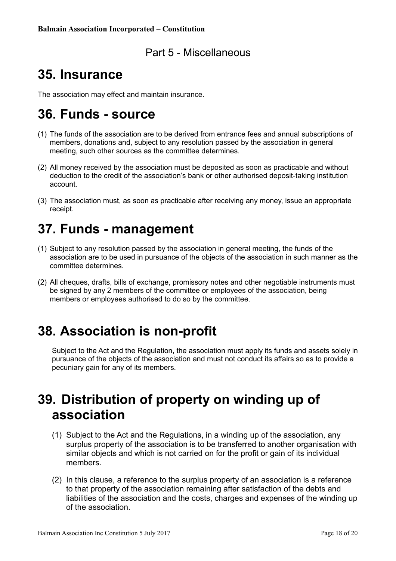#### <span id="page-17-5"></span>Part 5 - Miscellaneous

### <span id="page-17-4"></span>**35. Insurance**

The association may effect and maintain insurance.

### <span id="page-17-3"></span>**36. Funds - source**

- (1) The funds of the association are to be derived from entrance fees and annual subscriptions of members, donations and, subject to any resolution passed by the association in general meeting, such other sources as the committee determines.
- (2) All money received by the association must be deposited as soon as practicable and without deduction to the credit of the association's bank or other authorised deposit-taking institution account.
- (3) The association must, as soon as practicable after receiving any money, issue an appropriate receipt.

### <span id="page-17-2"></span>**37. Funds - management**

- (1) Subject to any resolution passed by the association in general meeting, the funds of the association are to be used in pursuance of the objects of the association in such manner as the committee determines.
- (2) All cheques, drafts, bills of exchange, promissory notes and other negotiable instruments must be signed by any 2 members of the committee or employees of the association, being members or employees authorised to do so by the committee.

#### <span id="page-17-1"></span>**38. Association is non-profit**

Subject to the Act and the Regulation, the association must apply its funds and assets solely in pursuance of the objects of the association and must not conduct its affairs so as to provide a pecuniary gain for any of its members.

### <span id="page-17-0"></span>**39. Distribution of property on winding up of association**

- (1) Subject to the Act and the Regulations, in a winding up of the association, any surplus property of the association is to be transferred to another organisation with similar objects and which is not carried on for the profit or gain of its individual members.
- (2) In this clause, a reference to the surplus property of an association is a reference to that property of the association remaining after satisfaction of the debts and liabilities of the association and the costs, charges and expenses of the winding up of the association.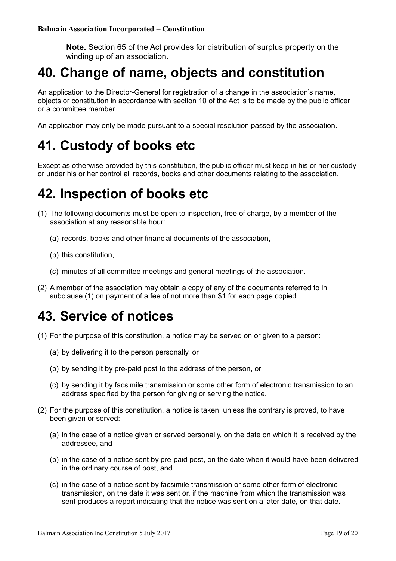**Note.** Section 65 of the Act provides for distribution of surplus property on the winding up of an association.

#### <span id="page-18-3"></span>**40. Change of name, objects and constitution**

An application to the Director-General for registration of a change in the association's name, objects or constitution in accordance with section 10 of the Act is to be made by the public officer or a committee member.

An application may only be made pursuant to a special resolution passed by the association.

#### <span id="page-18-2"></span>**41. Custody of books etc**

Except as otherwise provided by this constitution, the public officer must keep in his or her custody or under his or her control all records, books and other documents relating to the association.

#### <span id="page-18-1"></span>**42. Inspection of books etc**

- (1) The following documents must be open to inspection, free of charge, by a member of the association at any reasonable hour:
	- (a) records, books and other financial documents of the association,
	- (b) this constitution,
	- (c) minutes of all committee meetings and general meetings of the association.
- (2) A member of the association may obtain a copy of any of the documents referred to in subclause (1) on payment of a fee of not more than \$1 for each page copied.

#### <span id="page-18-0"></span>**43. Service of notices**

- (1) For the purpose of this constitution, a notice may be served on or given to a person:
	- (a) by delivering it to the person personally, or
	- (b) by sending it by pre-paid post to the address of the person, or
	- (c) by sending it by facsimile transmission or some other form of electronic transmission to an address specified by the person for giving or serving the notice.
- (2) For the purpose of this constitution, a notice is taken, unless the contrary is proved, to have been given or served:
	- (a) in the case of a notice given or served personally, on the date on which it is received by the addressee, and
	- (b) in the case of a notice sent by pre-paid post, on the date when it would have been delivered in the ordinary course of post, and
	- (c) in the case of a notice sent by facsimile transmission or some other form of electronic transmission, on the date it was sent or, if the machine from which the transmission was sent produces a report indicating that the notice was sent on a later date, on that date.